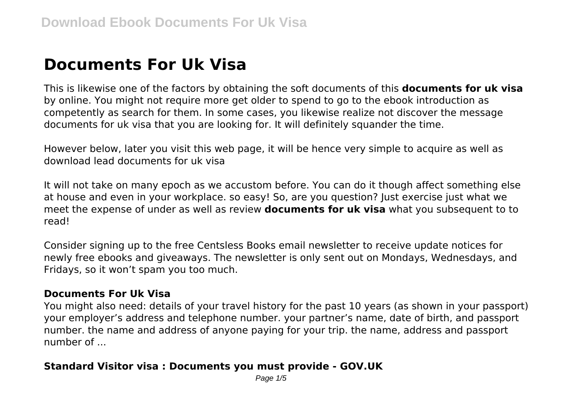# **Documents For Uk Visa**

This is likewise one of the factors by obtaining the soft documents of this **documents for uk visa** by online. You might not require more get older to spend to go to the ebook introduction as competently as search for them. In some cases, you likewise realize not discover the message documents for uk visa that you are looking for. It will definitely squander the time.

However below, later you visit this web page, it will be hence very simple to acquire as well as download lead documents for uk visa

It will not take on many epoch as we accustom before. You can do it though affect something else at house and even in your workplace. so easy! So, are you question? Just exercise just what we meet the expense of under as well as review **documents for uk visa** what you subsequent to to read!

Consider signing up to the free Centsless Books email newsletter to receive update notices for newly free ebooks and giveaways. The newsletter is only sent out on Mondays, Wednesdays, and Fridays, so it won't spam you too much.

#### **Documents For Uk Visa**

You might also need: details of your travel history for the past 10 years (as shown in your passport) your employer's address and telephone number. your partner's name, date of birth, and passport number. the name and address of anyone paying for your trip. the name, address and passport number of ...

#### **Standard Visitor visa : Documents you must provide - GOV.UK**

Page  $1/5$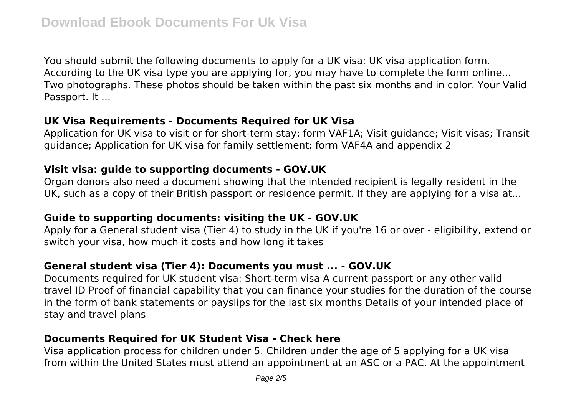You should submit the following documents to apply for a UK visa: UK visa application form. According to the UK visa type you are applying for, you may have to complete the form online... Two photographs. These photos should be taken within the past six months and in color. Your Valid Passport. It ...

#### **UK Visa Requirements - Documents Required for UK Visa**

Application for UK visa to visit or for short-term stay: form VAF1A; Visit guidance; Visit visas; Transit guidance; Application for UK visa for family settlement: form VAF4A and appendix 2

## **Visit visa: guide to supporting documents - GOV.UK**

Organ donors also need a document showing that the intended recipient is legally resident in the UK, such as a copy of their British passport or residence permit. If they are applying for a visa at...

## **Guide to supporting documents: visiting the UK - GOV.UK**

Apply for a General student visa (Tier 4) to study in the UK if you're 16 or over - eligibility, extend or switch your visa, how much it costs and how long it takes

# **General student visa (Tier 4): Documents you must ... - GOV.UK**

Documents required for UK student visa: Short-term visa A current passport or any other valid travel ID Proof of financial capability that you can finance your studies for the duration of the course in the form of bank statements or payslips for the last six months Details of your intended place of stay and travel plans

# **Documents Required for UK Student Visa - Check here**

Visa application process for children under 5. Children under the age of 5 applying for a UK visa from within the United States must attend an appointment at an ASC or a PAC. At the appointment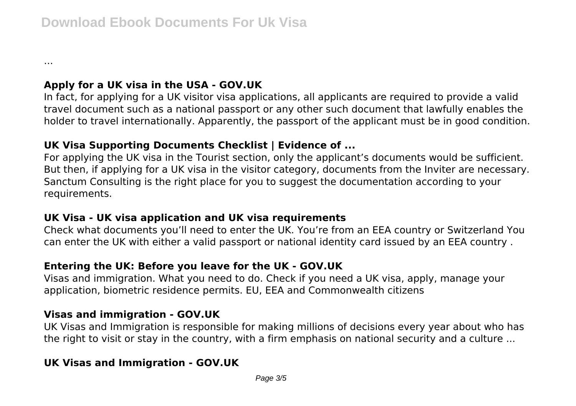...

# **Apply for a UK visa in the USA - GOV.UK**

In fact, for applying for a UK visitor visa applications, all applicants are required to provide a valid travel document such as a national passport or any other such document that lawfully enables the holder to travel internationally. Apparently, the passport of the applicant must be in good condition.

## **UK Visa Supporting Documents Checklist | Evidence of ...**

For applying the UK visa in the Tourist section, only the applicant's documents would be sufficient. But then, if applying for a UK visa in the visitor category, documents from the Inviter are necessary. Sanctum Consulting is the right place for you to suggest the documentation according to your requirements.

## **UK Visa - UK visa application and UK visa requirements**

Check what documents you'll need to enter the UK. You're from an EEA country or Switzerland You can enter the UK with either a valid passport or national identity card issued by an EEA country .

# **Entering the UK: Before you leave for the UK - GOV.UK**

Visas and immigration. What you need to do. Check if you need a UK visa, apply, manage your application, biometric residence permits. EU, EEA and Commonwealth citizens

## **Visas and immigration - GOV.UK**

UK Visas and Immigration is responsible for making millions of decisions every year about who has the right to visit or stay in the country, with a firm emphasis on national security and a culture ...

# **UK Visas and Immigration - GOV.UK**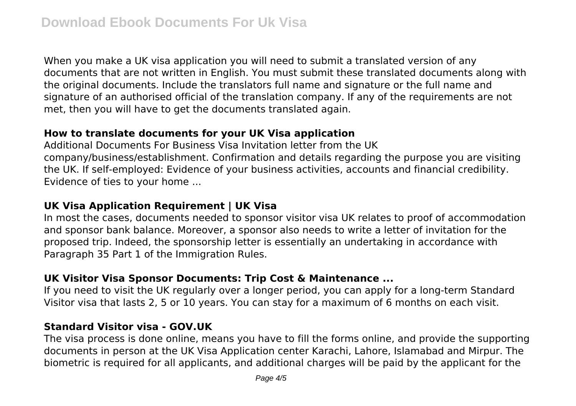When you make a UK visa application you will need to submit a translated version of any documents that are not written in English. You must submit these translated documents along with the original documents. Include the translators full name and signature or the full name and signature of an authorised official of the translation company. If any of the requirements are not met, then you will have to get the documents translated again.

## **How to translate documents for your UK Visa application**

Additional Documents For Business Visa Invitation letter from the UK company/business/establishment. Confirmation and details regarding the purpose you are visiting the UK. If self-employed: Evidence of your business activities, accounts and financial credibility. Evidence of ties to your home ...

# **UK Visa Application Requirement | UK Visa**

In most the cases, documents needed to sponsor visitor visa UK relates to proof of accommodation and sponsor bank balance. Moreover, a sponsor also needs to write a letter of invitation for the proposed trip. Indeed, the sponsorship letter is essentially an undertaking in accordance with Paragraph 35 Part 1 of the Immigration Rules.

# **UK Visitor Visa Sponsor Documents: Trip Cost & Maintenance ...**

If you need to visit the UK regularly over a longer period, you can apply for a long-term Standard Visitor visa that lasts 2, 5 or 10 years. You can stay for a maximum of 6 months on each visit.

#### **Standard Visitor visa - GOV.UK**

The visa process is done online, means you have to fill the forms online, and provide the supporting documents in person at the UK Visa Application center Karachi, Lahore, Islamabad and Mirpur. The biometric is required for all applicants, and additional charges will be paid by the applicant for the